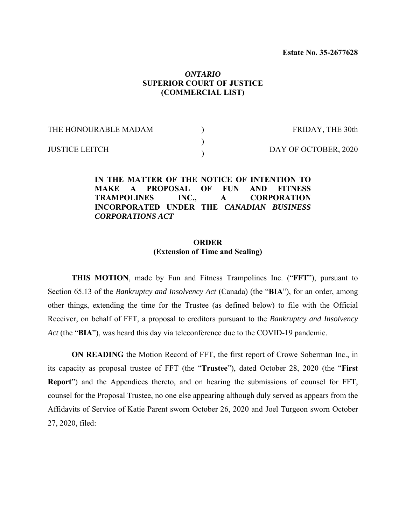## *ONTARIO*  **SUPERIOR COURT OF JUSTICE (COMMERCIAL LIST)**

| THE HONOURABLE MADAM  | FRIDAY, THE 30th     |
|-----------------------|----------------------|
| <b>JUSTICE LEITCH</b> | DAY OF OCTOBER, 2020 |

**IN THE MATTER OF THE NOTICE OF INTENTION TO MAKE A PROPOSAL OF FUN AND FITNESS TRAMPOLINES INC., A CORPORATION INCORPORATED UNDER THE** *CANADIAN BUSINESS CORPORATIONS ACT*

### **ORDER (Extension of Time and Sealing)**

**THIS MOTION**, made by Fun and Fitness Trampolines Inc. ("**FFT**"), pursuant to Section 65.13 of the *Bankruptcy and Insolvency Act* (Canada) (the "**BIA**"), for an order, among other things, extending the time for the Trustee (as defined below) to file with the Official Receiver, on behalf of FFT, a proposal to creditors pursuant to the *Bankruptcy and Insolvency Act* (the "**BIA**"), was heard this day via teleconference due to the COVID-19 pandemic.

**ON READING** the Motion Record of FFT, the first report of Crowe Soberman Inc., in its capacity as proposal trustee of FFT (the "**Trustee**"), dated October 28, 2020 (the "**First Report**") and the Appendices thereto, and on hearing the submissions of counsel for FFT, counsel for the Proposal Trustee, no one else appearing although duly served as appears from the Affidavits of Service of Katie Parent sworn October 26, 2020 and Joel Turgeon sworn October 27, 2020, filed: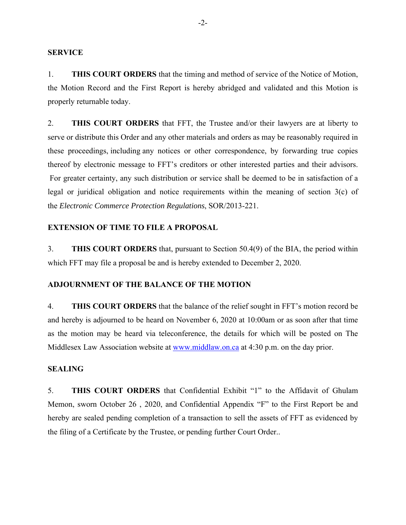### **SERVICE**

1. **THIS COURT ORDERS** that the timing and method of service of the Notice of Motion, the Motion Record and the First Report is hereby abridged and validated and this Motion is properly returnable today.

2. **THIS COURT ORDERS** that FFT, the Trustee and/or their lawyers are at liberty to serve or distribute this Order and any other materials and orders as may be reasonably required in these proceedings, including any notices or other correspondence, by forwarding true copies thereof by electronic message to FFT's creditors or other interested parties and their advisors. For greater certainty, any such distribution or service shall be deemed to be in satisfaction of a legal or juridical obligation and notice requirements within the meaning of section 3(c) of the *Electronic Commerce Protection Regulations*, SOR/2013-221.

### **EXTENSION OF TIME TO FILE A PROPOSAL**

3. **THIS COURT ORDERS** that, pursuant to Section 50.4(9) of the BIA, the period within which FFT may file a proposal be and is hereby extended to December 2, 2020.

# **ADJOURNMENT OF THE BALANCE OF THE MOTION**

4. **THIS COURT ORDERS** that the balance of the relief sought in FFT's motion record be and hereby is adjourned to be heard on November 6, 2020 at 10:00am or as soon after that time as the motion may be heard via teleconference, the details for which will be posted on The Middlesex Law Association website at www.middlaw.on.ca at 4:30 p.m. on the day prior.

### **SEALING**

5. **THIS COURT ORDERS** that Confidential Exhibit "1" to the Affidavit of Ghulam Memon, sworn October 26 , 2020, and Confidential Appendix "F" to the First Report be and hereby are sealed pending completion of a transaction to sell the assets of FFT as evidenced by the filing of a Certificate by the Trustee, or pending further Court Order..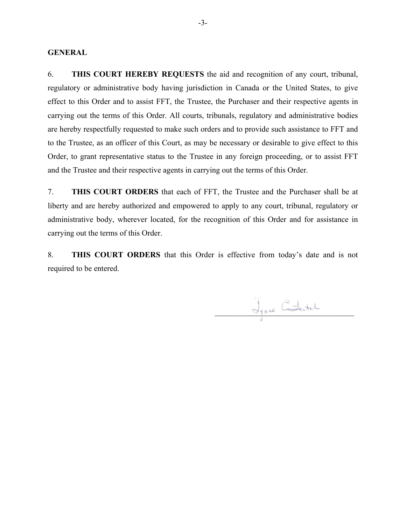### **GENERAL**

6. **THIS COURT HEREBY REQUESTS** the aid and recognition of any court, tribunal, regulatory or administrative body having jurisdiction in Canada or the United States, to give effect to this Order and to assist FFT, the Trustee, the Purchaser and their respective agents in carrying out the terms of this Order. All courts, tribunals, regulatory and administrative bodies are hereby respectfully requested to make such orders and to provide such assistance to FFT and to the Trustee, as an officer of this Court, as may be necessary or desirable to give effect to this Order, to grant representative status to the Trustee in any foreign proceeding, or to assist FFT and the Trustee and their respective agents in carrying out the terms of this Order.

7. **THIS COURT ORDERS** that each of FFT, the Trustee and the Purchaser shall be at liberty and are hereby authorized and empowered to apply to any court, tribunal, regulatory or administrative body, wherever located, for the recognition of this Order and for assistance in carrying out the terms of this Order.

8. **THIS COURT ORDERS** that this Order is effective from today's date and is not required to be entered.

Jynne Chatal